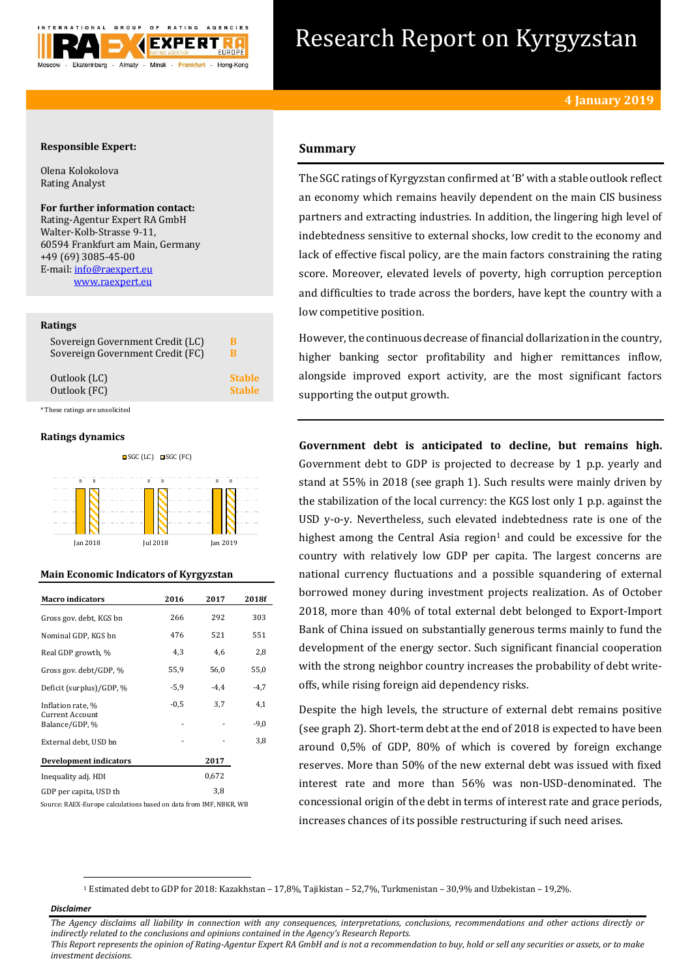

# Research Report on Kyrgyzstan

## **Responsible Expert:**

Olena Kolokolova Rating Analyst

## **For further information contact:** Rating-Agentur Expert RA GmbH

Walter-Kolb-Strasse 9-11, 60594 Frankfurt am Main, Germany +49 (69) 3085-45-00 E-mail[: info@raexpert.eu](mailto:info@raexpert.eu) [www.raexpert.eu](http://raexpert.eu/)

#### **Ratings**

| Sovereign Government Credit (LC) | B             |
|----------------------------------|---------------|
| Sovereign Government Credit (FC) | В             |
| Outlook (LC)                     | <b>Stable</b> |
| Outlook (FC)                     | <b>Stable</b> |

\* These ratings are unsolicited

## **Ratings dynamics**





## **Main Economic Indicators of Kyrgyzstan**

| <b>Macro</b> indicators                                       | 2016   | 2017   | 2018f         |
|---------------------------------------------------------------|--------|--------|---------------|
| Gross gov. debt, KGS bn                                       | 266    | 292    | 303           |
| Nominal GDP, KGS bn                                           | 476    | 521    | 551           |
| Real GDP growth, %                                            | 4,3    | 4,6    | 2,8           |
| Gross gov. debt/GDP, %                                        | 55,9   | 56,0   | 55,0          |
| Deficit (surplus)/GDP, %                                      | $-5,9$ | $-4.4$ | $-4,7$        |
| Inflation rate, %<br><b>Current Account</b><br>Balance/GDP, % | $-0.5$ | 3,7    | 4,1<br>$-9,0$ |
| External debt, USD bn                                         |        |        | 3,8           |
| Development indicators                                        |        | 2017   |               |
| Inequality adj. HDI                                           |        | 0,672  |               |
| GDP per capita, USD th                                        |        | 3,8    |               |

Source: RAEX-Europe calculations based on data from IMF, NBKR, WB

# **Summary**

The SGC ratings of Kyrgyzstan confirmed at 'B' with a stable outlook reflect an economy which remains heavily dependent on the main CIS business partners and extracting industries. In addition, the lingering high level of indebtedness sensitive to external shocks, low credit to the economy and lack of effective fiscal policy, are the main factors constraining the rating score. Moreover, elevated levels of poverty, high corruption perception and difficulties to trade across the borders, have kept the country with a low competitive position.

However, the continuous decrease of financial dollarization in the country, higher banking sector profitability and higher remittances inflow, alongside improved export activity, are the most significant factors supporting the output growth.

**Government debt is anticipated to decline, but remains high.**  Government debt to GDP is projected to decrease by 1 p.p. yearly and stand at 55% in 2018 (see graph 1). Such results were mainly driven by the stabilization of the local currency: the KGS lost only 1 p.p. against the USD y-o-y. Nevertheless, such elevated indebtedness rate is one of the highest among the Central Asia region<sup>1</sup> and could be excessive for the country with relatively low GDP per capita. The largest concerns are national currency fluctuations and a possible squandering of external borrowed money during investment projects realization. As of October 2018, more than 40% of total external debt belonged to Export-Import Bank of China issued on substantially generous terms mainly to fund the development of the energy sector. Such significant financial cooperation with the strong neighbor country increases the probability of debt writeoffs, while rising foreign aid dependency risks.

Despite the high levels, the structure of external debt remains positive (see graph 2). Short-term debt at the end of 2018 is expected to have been around 0,5% of GDP, 80% of which is covered by foreign exchange reserves. More than 50% of the new external debt was issued with fixed interest rate and more than 56% was non-USD-denominated. The concessional origin of the debt in terms of interest rate and grace periods, increases chances of its possible restructuring if such need arises.

<sup>1</sup> Estimated debt to GDP for 2018: Kazakhstan – 17,8%, Tajikistan – 52,7%, Turkmenistan – 30,9% and Uzbekistan – 19,2%.

#### *Disclaimer*

1

*The Agency disclaims all liability in connection with any consequences, interpretations, conclusions, recommendations and other actions directly or indirectly related to the conclusions and opinions contained in the Agency's Research Reports.*

*This Report represents the opinion of Rating-Agentur Expert RA GmbH and is not a recommendation to buy, hold or sell any securities or assets, or to make investment decisions.*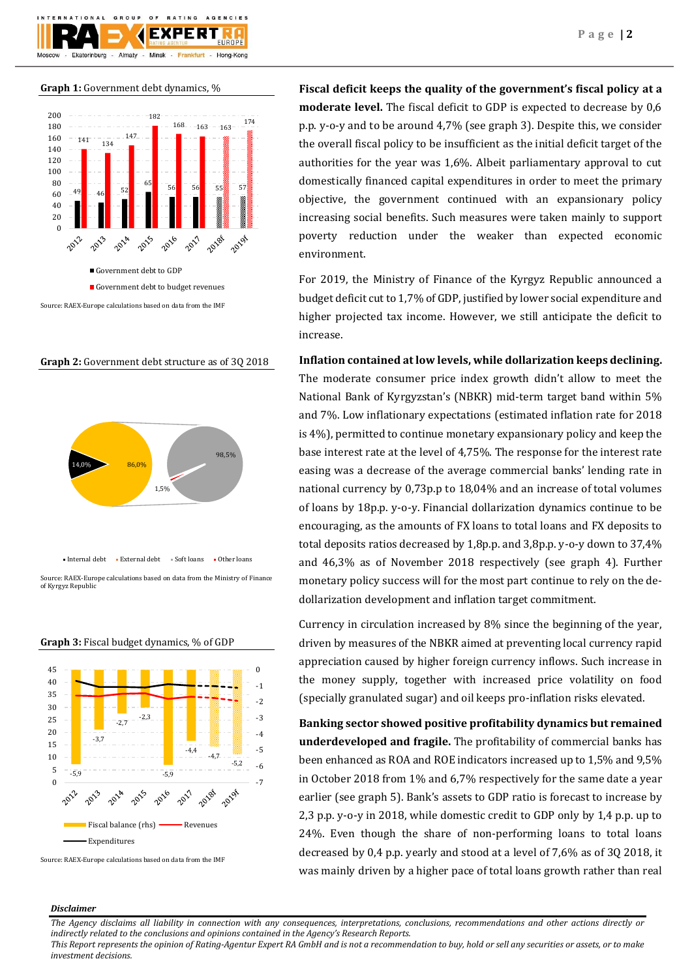

**Graph 1:** Government debt dynamics, %



## **Graph 2:** Government debt structure as of 3Q 2018



of Kyrgyz Republi





Source: RAEX-Europe calculations based on data from the IMF

**Fiscal deficit keeps the quality of the government's fiscal policy at a moderate level.** The fiscal deficit to GDP is expected to decrease by 0,6 p.p. y-o-y and to be around 4,7% (see graph 3). Despite this, we consider the overall fiscal policy to be insufficient as the initial deficit target of the authorities for the year was 1,6%. Albeit parliamentary approval to cut domestically financed capital expenditures in order to meet the primary objective, the government continued with an expansionary policy increasing social benefits. Such measures were taken mainly to support poverty reduction under the weaker than expected economic environment.

For 2019, the Ministry of Finance of the Kyrgyz Republic announced a budget deficit cut to 1,7% of GDP, justified by lower social expenditure and higher projected tax income. However, we still anticipate the deficit to increase.

# **Inflation contained at low levels, while dollarization keeps declining.**

The moderate consumer price index growth didn't allow to meet the National Bank of Kyrgyzstan's (NBKR) mid-term target band within 5% and 7%. Low inflationary expectations (estimated inflation rate for 2018 is 4%), permitted to continue monetary expansionary policy and keep the base interest rate at the level of 4,75%. The response for the interest rate easing was a decrease of the average commercial banks' lending rate in national currency by 0,73p.p to 18,04% and an increase of total volumes of loans by 18p.p. y-o-y. Financial dollarization dynamics continue to be encouraging, as the amounts of FX loans to total loans and FX deposits to total deposits ratios decreased by 1,8p.p. and 3,8p.p. y-o-y down to 37,4% and 46,3% as of November 2018 respectively (see graph 4). Further monetary policy success will for the most part continue to rely on the dedollarization development and inflation target commitment.

Currency in circulation increased by 8% since the beginning of the year, driven by measures of the NBKR aimed at preventing local currency rapid appreciation caused by higher foreign currency inflows. Such increase in the money supply, together with increased price volatility on food (specially granulated sugar) and oil keeps pro-inflation risks elevated.

**Banking sector showed positive profitability dynamics but remained underdeveloped and fragile.** The profitability of commercial banks has been enhanced as ROA and ROE indicators increased up to 1,5% and 9,5% in October 2018 from 1% and 6,7% respectively for the same date a year earlier (see graph 5). Bank's assets to GDP ratio is forecast to increase by 2,3 p.p. y-o-y in 2018, while domestic credit to GDP only by 1,4 p.p. up to 24%. Even though the share of non-performing loans to total loans decreased by 0,4 p.p. yearly and stood at a level of 7,6% as of 3Q 2018, it was mainly driven by a higher pace of total loans growth rather than real

#### *Disclaimer*

*The Agency disclaims all liability in connection with any consequences, interpretations, conclusions, recommendations and other actions directly or indirectly related to the conclusions and opinions contained in the Agency's Research Reports.*

*This Report represents the opinion of Rating-Agentur Expert RA GmbH and is not a recommendation to buy, hold or sell any securities or assets, or to make investment decisions.*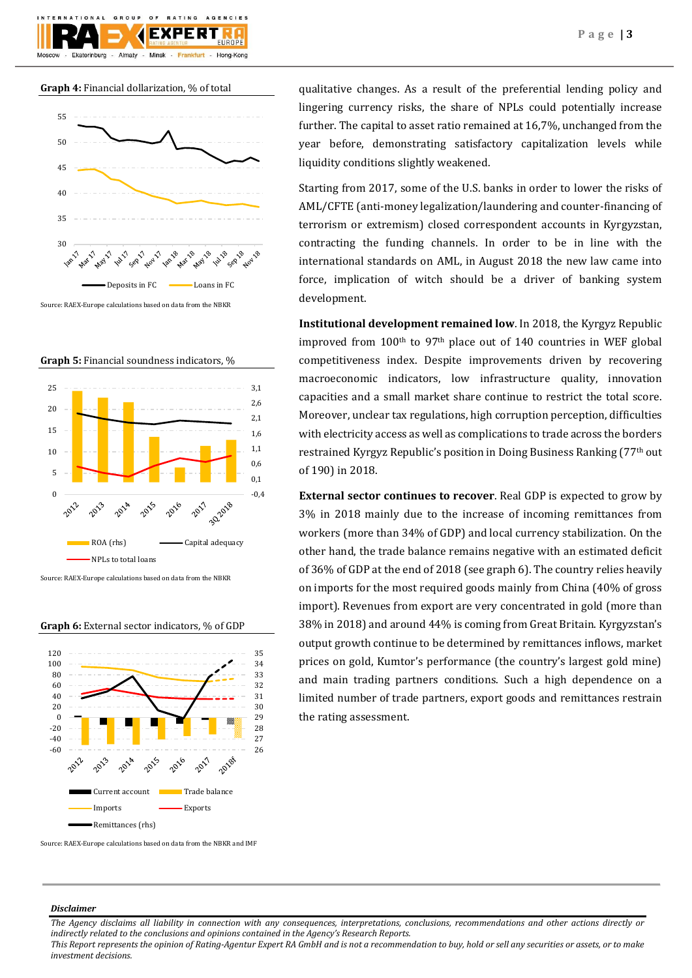





Source: RAEX-Europe calculations based on data from the NBKR

**Graph 5:** Financial soundness indicators, %



Source: RAEX-Europe calculations based on data from the NBKR

#### **Graph 6:** External sector indicators, % of GDP



qualitative changes. As a result of the preferential lending policy and lingering currency risks, the share of NPLs could potentially increase further. The capital to asset ratio remained at 16,7%, unchanged from the year before, demonstrating satisfactory capitalization levels while liquidity conditions slightly weakened.

Starting from 2017, some of the U.S. banks in order to lower the risks of AML/CFTE (anti-money legalization/laundering and counter-financing of terrorism or extremism) closed correspondent accounts in Kyrgyzstan, contracting the funding channels. In order to be in line with the international standards on AML, in August 2018 the new law came into force, implication of witch should be a driver of banking system development.

**Institutional development remained low**. In 2018, the Kyrgyz Republic improved from  $100<sup>th</sup>$  to 97<sup>th</sup> place out of 140 countries in WEF global competitiveness index. Despite improvements driven by recovering macroeconomic indicators, low infrastructure quality, innovation capacities and a small market share continue to restrict the total score. Moreover, unclear tax regulations, high corruption perception, difficulties with electricity access as well as complications to trade across the borders restrained Kyrgyz Republic's position in Doing Business Ranking (77th out of 190) in 2018.

**External sector continues to recover**. Real GDP is expected to grow by 3% in 2018 mainly due to the increase of incoming remittances from workers (more than 34% of GDP) and local currency stabilization. On the other hand, the trade balance remains negative with an estimated deficit of 36% of GDP at the end of 2018 (see graph 6). The country relies heavily on imports for the most required goods mainly from China (40% of gross import). Revenues from export are very concentrated in gold (more than 38% in 2018) and around 44% is coming from Great Britain. Kyrgyzstan's output growth continue to be determined by remittances inflows, market prices on gold, Kumtor's performance (the country's largest gold mine) and main trading partners conditions. Such a high dependence on a limited number of trade partners, export goods and remittances restrain the rating assessment.

## *Disclaimer*

*The Agency disclaims all liability in connection with any consequences, interpretations, conclusions, recommendations and other actions directly or indirectly related to the conclusions and opinions contained in the Agency's Research Reports.*

*This Report represents the opinion of Rating-Agentur Expert RA GmbH and is not a recommendation to buy, hold or sell any securities or assets, or to make investment decisions.*

Source: RAEX-Europe calculations based on data from the NBKR and IMF